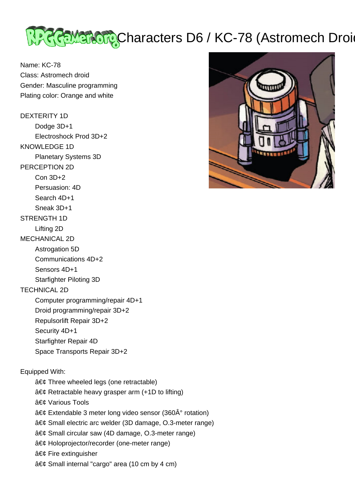

Name: KC-78 Class: Astromech droid Gender: Masculine programming Plating color: Orange and white

DEXTERITY 1D Dodge 3D+1 Electroshock Prod 3D+2 KNOWLEDGE 1D Planetary Systems 3D PERCEPTION 2D Con 3D+2 Persuasion: 4D Search 4D+1 Sneak 3D+1 STRENGTH 1D Lifting 2D MECHANICAL 2D Astrogation 5D Communications 4D+2 Sensors 4D+1 Starfighter Piloting 3D TECHNICAL 2D Computer programming/repair 4D+1 Droid programming/repair 3D+2 Repulsorlift Repair 3D+2 Security 4D+1 Starfighter Repair 4D Space Transports Repair 3D+2 Equipped With:  $a \in \mathcal{C}$  Three wheeled legs (one retractable)  $a \in \mathcal{C}$  Retractable heavy grasper arm (+1D to lifting) • Various Tools



- $\hat{a} \in \mathcal{C}$  Extendable 3 meter long video sensor (360 $\hat{A}^{\circ}$  rotation)
- $a \in \mathcal{C}$  Small electric arc welder (3D damage, O.3-meter range)
- Small circular saw (4D damage, O.3-meter range)
- Holoprojector/recorder (one-meter range)
- $a \in \mathfrak{c}$  Fire extinguisher
- $a \in \mathcal{C}$  Small internal "cargo" area (10 cm by 4 cm)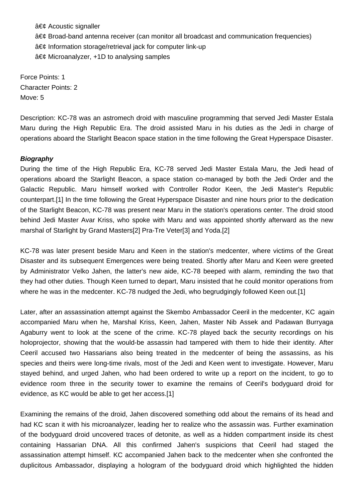$a \in \mathcal{C}$  Acoustic signaller • Broad-band antenna receiver (can monitor all broadcast and communication frequencies)  $\hat{a} \in \mathcal{C}$  Information storage/retrieval jack for computer link-up  $\hat{a} \in \mathcal{C}$  Microanalyzer, +1D to analysing samples

Force Points: 1 Character Points: 2 Move: 5

Description: KC-78 was an astromech droid with masculine programming that served Jedi Master Estala Maru during the High Republic Era. The droid assisted Maru in his duties as the Jedi in charge of operations aboard the Starlight Beacon space station in the time following the Great Hyperspace Disaster.

## **Biography**

During the time of the High Republic Era, KC-78 served Jedi Master Estala Maru, the Jedi head of operations aboard the Starlight Beacon, a space station co-managed by both the Jedi Order and the Galactic Republic. Maru himself worked with Controller Rodor Keen, the Jedi Master's Republic counterpart.[1] In the time following the Great Hyperspace Disaster and nine hours prior to the dedication of the Starlight Beacon, KC-78 was present near Maru in the station's operations center. The droid stood behind Jedi Master Avar Kriss, who spoke with Maru and was appointed shortly afterward as the new marshal of Starlight by Grand Masters[2] Pra-Tre Veter[3] and Yoda.[2]

KC-78 was later present beside Maru and Keen in the station's medcenter, where victims of the Great Disaster and its subsequent Emergences were being treated. Shortly after Maru and Keen were greeted by Administrator Velko Jahen, the latter's new aide, KC-78 beeped with alarm, reminding the two that they had other duties. Though Keen turned to depart, Maru insisted that he could monitor operations from where he was in the medcenter. KC-78 nudged the Jedi, who begrudgingly followed Keen out.[1]

Later, after an assassination attempt against the Skembo Ambassador Ceeril in the medcenter, KC again accompanied Maru when he, Marshal Kriss, Keen, Jahen, Master Nib Assek and Padawan Burryaga Agaburry went to look at the scene of the crime. KC-78 played back the security recordings on his holoprojector, showing that the would-be assassin had tampered with them to hide their identity. After Ceeril accused two Hassarians also being treated in the medcenter of being the assassins, as his species and theirs were long-time rivals, most of the Jedi and Keen went to investigate. However, Maru stayed behind, and urged Jahen, who had been ordered to write up a report on the incident, to go to evidence room three in the security tower to examine the remains of Ceeril's bodyguard droid for evidence, as KC would be able to get her access.[1]

Examining the remains of the droid, Jahen discovered something odd about the remains of its head and had KC scan it with his microanalyzer, leading her to realize who the assassin was. Further examination of the bodyguard droid uncovered traces of detonite, as well as a hidden compartment inside its chest containing Hassarian DNA. All this confirmed Jahen's suspicions that Ceeril had staged the assassination attempt himself. KC accompanied Jahen back to the medcenter when she confronted the duplicitous Ambassador, displaying a hologram of the bodyguard droid which highlighted the hidden